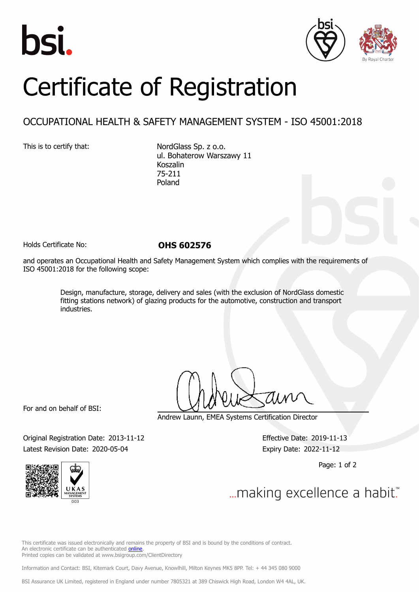



## Certificate of Registration

## OCCUPATIONAL HEALTH & SAFETY MANAGEMENT SYSTEM - ISO 45001:2018

This is to certify that: NordGlass Sp. z o.o. ul. Bohaterow Warszawy 11 Koszalin 75-211 Poland

Holds Certificate No: **OHS 602576**

and operates an Occupational Health and Safety Management System which complies with the requirements of ISO 45001:2018 for the following scope:

> Design, manufacture, storage, delivery and sales (with the exclusion of NordGlass domestic fitting stations network) of glazing products for the automotive, construction and transport industries.

For and on behalf of BSI:

Andrew Launn, EMEA Systems Certification Director

Original Registration Date: 2013-11-12 Effective Date: 2019-11-13 Latest Revision Date: 2020-05-04 **Expiry Date: 2022-11-12** 

Page: 1 of 2



... making excellence a habit."

This certificate was issued electronically and remains the property of BSI and is bound by the conditions of contract. An electronic certificate can be authenticated [online](https://pgplus.bsigroup.com/CertificateValidation/CertificateValidator.aspx?CertificateNumber=OHS+602576&ReIssueDate=04%2f05%2f2020&Template=cemea_en) Printed copies can be validated at www.bsigroup.com/ClientDirectory

Information and Contact: BSI, Kitemark Court, Davy Avenue, Knowlhill, Milton Keynes MK5 8PP. Tel: + 44 345 080 9000

BSI Assurance UK Limited, registered in England under number 7805321 at 389 Chiswick High Road, London W4 4AL, UK.